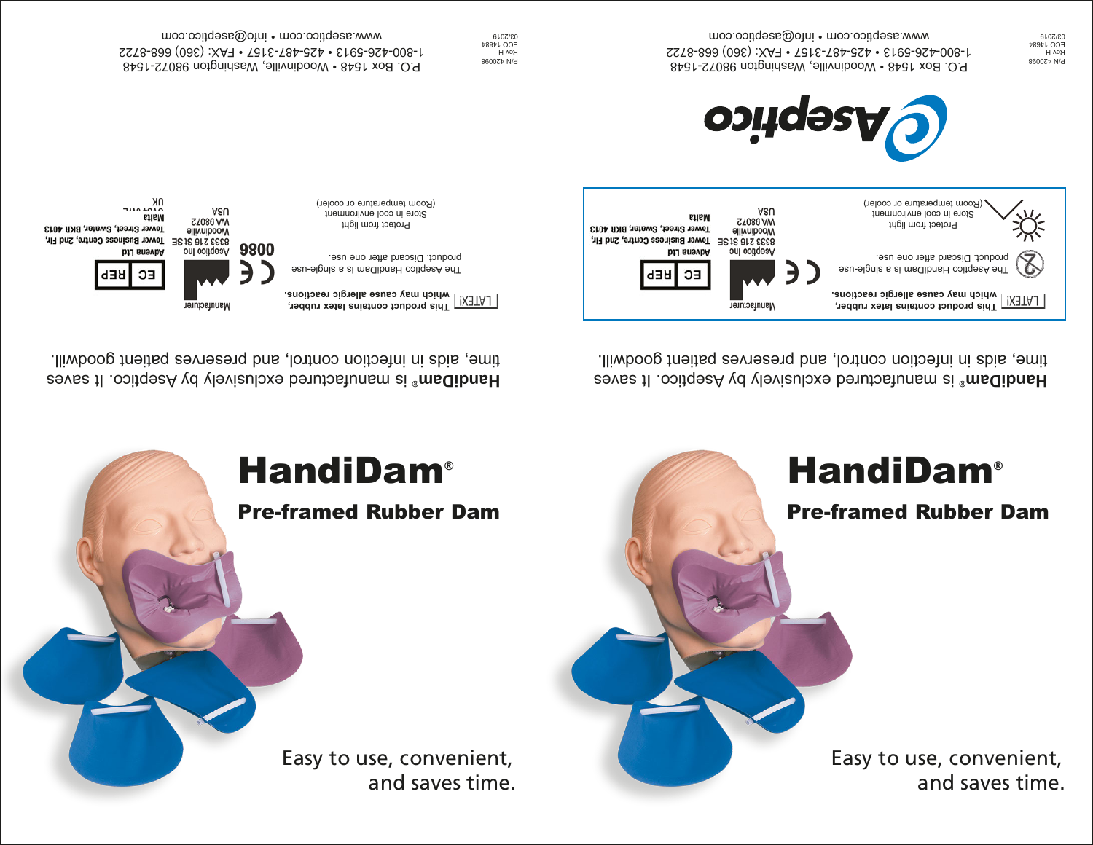Easy to use, convenient, and saves time.

## Pre-framed Rubber Dam **HandiDam®**

is manufactured exclusively by Aseptico. It saves **® HandiDam** time, aids in infection control, and preserves patient goodwill.





P.O. Box 1548 • Woodinville, Washington 98072-1548 1-800-426-5913 • 425-487-3157 • FAX: (360) 668-8722 www.aseptico.com • info@aseptico.com

P/N 420098 Rev H ECO 14684 03/2019